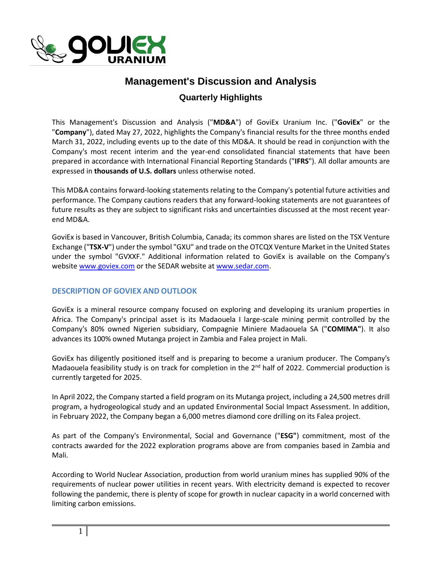

# **Management's Discussion and Analysis**

# **Quarterly Highlights**

This Management's Discussion and Analysis ("**MD&A**") of GoviEx Uranium Inc. ("**GoviEx**" or the "**Company**"), dated May 27, 2022, highlights the Company's financial results for the three months ended March 31, 2022, including events up to the date of this MD&A. It should be read in conjunction with the Company's most recent interim and the year-end consolidated financial statements that have been prepared in accordance with International Financial Reporting Standards ("**IFRS**"). All dollar amounts are expressed in **thousands of U.S. dollars** unless otherwise noted.

This MD&A contains forward-looking statements relating to the Company's potential future activities and performance. The Company cautions readers that any forward-looking statements are not guarantees of future results as they are subject to significant risks and uncertainties discussed at the most recent yearend MD&A.

GoviEx is based in Vancouver, British Columbia, Canada; its common shares are listed on the TSX Venture Exchange ("**TSX-V**") under the symbol "GXU" and trade on the OTCQX Venture Market in the United States under the symbol "GVXXF." Additional information related to GoviEx is available on the Company's websit[e www.goviex.com](http://www.goviex.com/) or the SEDAR website at [www.sedar.com.](http://www.sedar.com/)

## **DESCRIPTION OF GOVIEX AND OUTLOOK**

GoviEx is a mineral resource company focused on exploring and developing its uranium properties in Africa. The Company's principal asset is its Madaouela I large-scale mining permit controlled by the Company's 80% owned Nigerien subsidiary, Compagnie Miniere Madaouela SA ("**COMIMA"**). It also advances its 100% owned Mutanga project in Zambia and Falea project in Mali.

GoviEx has diligently positioned itself and is preparing to become a uranium producer. The Company's Madaouela feasibility study is on track for completion in the 2<sup>nd</sup> half of 2022. Commercial production is currently targeted for 2025.

In April 2022, the Company started a field program on its Mutanga project, including a 24,500 metres drill program, a hydrogeological study and an updated Environmental Social Impact Assessment. In addition, in February 2022, the Company began a 6,000 metres diamond core drilling on its Falea project.

As part of the Company's Environmental, Social and Governance ("**ESG"**) commitment, most of the contracts awarded for the 2022 exploration programs above are from companies based in Zambia and Mali.

According to World Nuclear Association, production from world uranium mines has supplied 90% of the requirements of nuclear power utilities in recent years. With electricity demand is expected to recover following the pandemic, there is plenty of scope for growth in nuclear capacity in a world concerned with limiting carbon emissions.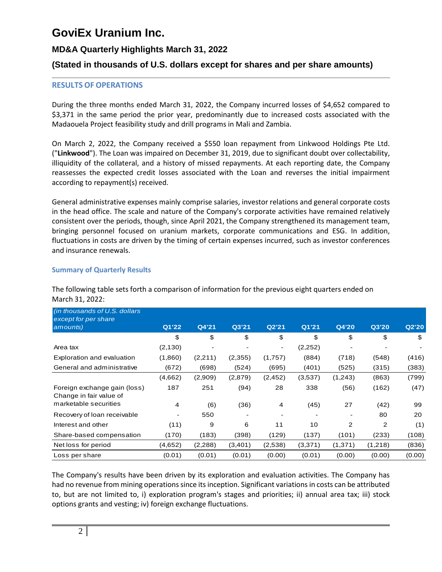# **GoviEx Uranium Inc.**

## **MD&A Quarterly Highlights March 31, 2022**

## **(Stated in thousands of U.S. dollars except for shares and per share amounts)**

### **RESULTS OF OPERATIONS**

During the three months ended March 31, 2022, the Company incurred losses of \$4,652 compared to \$3,371 in the same period the prior year, predominantly due to increased costs associated with the Madaouela Project feasibility study and drill programs in Mali and Zambia.

On March 2, 2022, the Company received a \$550 loan repayment from Linkwood Holdings Pte Ltd. ("**Linkwood**"). The Loan was impaired on December 31, 2019, due to significant doubt over collectability, illiquidity of the collateral, and a history of missed repayments. At each reporting date, the Company reassesses the expected credit losses associated with the Loan and reverses the initial impairment according to repayment(s) received.

General administrative expenses mainly comprise salaries, investor relations and general corporate costs in the head office. The scale and nature of the Company's corporate activities have remained relatively consistent over the periods, though, since April 2021, the Company strengthened its management team, bringing personnel focused on uranium markets, corporate communications and ESG. In addition, fluctuations in costs are driven by the timing of certain expenses incurred, such as investor conferences and insurance renewals.

#### **Summary of Quarterly Results**

The following table sets forth a comparison of information for the previous eight quarters ended on March 31, 2022:

| (in thousands of U.S. dollars<br>except for per share   |          |          |         |                |         |         |         |        |
|---------------------------------------------------------|----------|----------|---------|----------------|---------|---------|---------|--------|
| amounts)                                                | Q1'22    | Q4'21    | Q3'21   | Q2'21          | Q1'21   | Q4'20   | Q3'20   | Q2'20  |
|                                                         | \$       | \$       | \$      | \$             | \$      | \$      | \$      | \$     |
| Area tax                                                | (2, 130) |          | -       | $\blacksquare$ | (2,252) |         |         |        |
| Exploration and evaluation                              | (1,860)  | (2,211)  | (2,355) | (1,757)        | (884)   | (718)   | (548)   | (416)  |
| General and administrative                              | (672)    | (698)    | (524)   | (695)          | (401)   | (525)   | (315)   | (383)  |
|                                                         | (4,662)  | (2,909)  | (2,879) | (2, 452)       | (3,537) | (1,243) | (863)   | (799)  |
| Foreign exchange gain (loss)<br>Change in fair value of | 187      | 251      | (94)    | 28             | 338     | (56)    | (162)   | (47)   |
| marketable securities                                   | 4        | (6)      | (36)    | 4              | (45)    | 27      | (42)    | 99     |
| Recovery of loan receivable                             |          | 550      | -       |                |         |         | 80      | 20     |
| Interest and other                                      | (11)     | 9        | 6       | 11             | 10      | 2       | 2       | (1)    |
| Share-based compensation                                | (170)    | (183)    | (398)   | (129)          | (137)   | (101)   | (233)   | (108)  |
| Net loss for period                                     | (4,652)  | (2, 288) | (3,401) | (2,538)        | (3,371) | (1,371) | (1,218) | (836)  |
| Loss per share                                          | (0.01)   | (0.01)   | (0.01)  | (0.00)         | (0.01)  | (0.00)  | (0.00)  | (0.00) |

The Company's results have been driven by its exploration and evaluation activities. The Company has had no revenue from mining operations since its inception. Significant variations in costs can be attributed to, but are not limited to, i) exploration program's stages and priorities; ii) annual area tax; iii) stock options grants and vesting; iv) foreign exchange fluctuations.